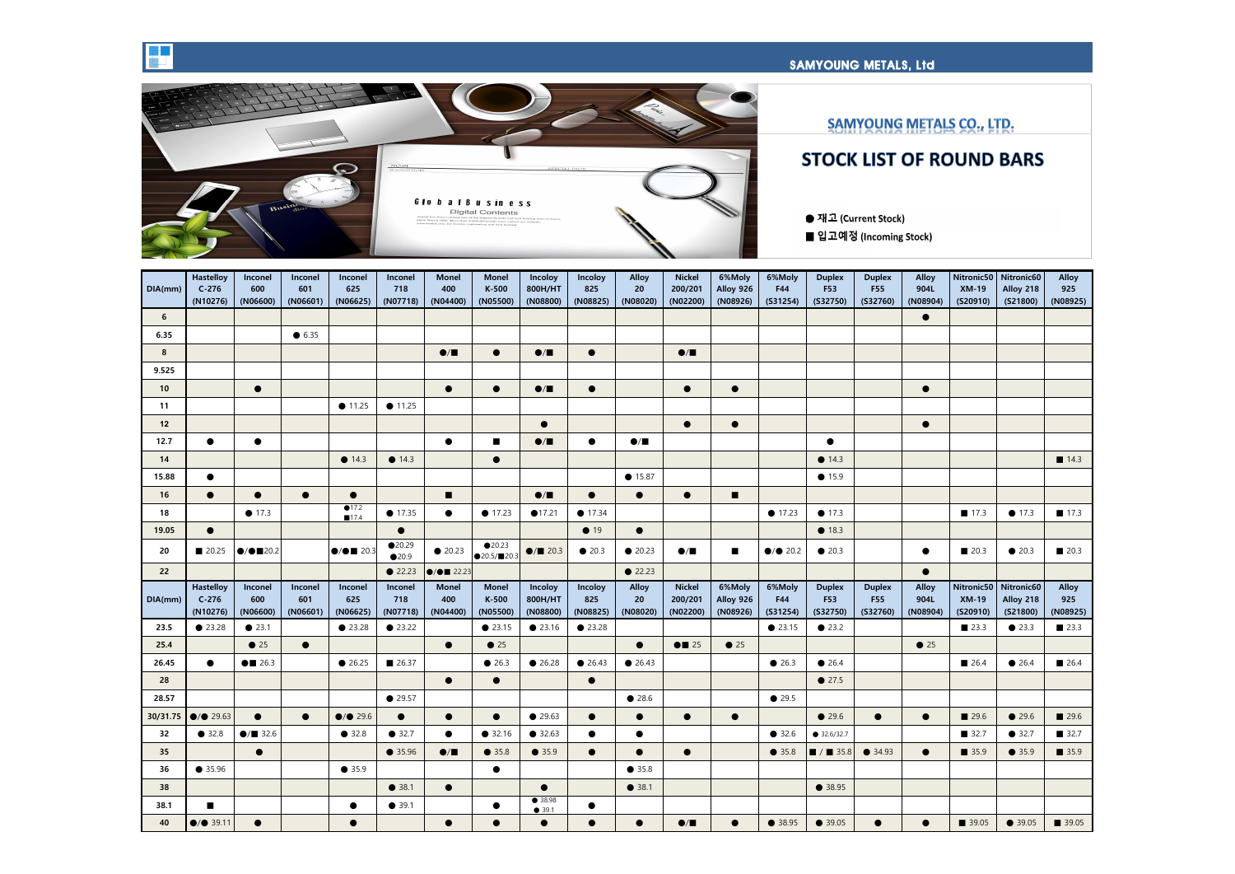



| DIA(mm)         | <b>Hastelloy</b><br>$C-276$<br>(N10276) | Inconel<br>600<br>(NO6600)      | Inconel<br>601<br>(NO6601) | Inconel<br>625<br>(NO6625)   | Inconel<br>718<br>(NO7718) | <b>Monel</b><br>400<br>(NO4400) | <b>Monel</b><br>K-500<br>(N05500)          | Incoloy<br>800H/HT<br>(N08800)  | Incoloy<br>825<br>(N08825) | <b>Alloy</b><br>20<br>(NO8020) | <b>Nickel</b><br>200/201<br>(N02200) | 6%Moly<br>Alloy 926<br>(N08926) | 6%Moly<br>F44<br>(S31254)  | <b>Duplex</b><br><b>F53</b><br>(S32750) | <b>Duplex</b><br><b>F55</b><br>(S32760) | <b>Alloy</b><br>904L<br>(NO8904) | Nitronic50<br><b>XM-19</b><br>(S20910) | Nitronic60<br>Alloy 218<br>(S21800) | <b>Alloy</b><br>925<br>(N08925) |
|-----------------|-----------------------------------------|---------------------------------|----------------------------|------------------------------|----------------------------|---------------------------------|--------------------------------------------|---------------------------------|----------------------------|--------------------------------|--------------------------------------|---------------------------------|----------------------------|-----------------------------------------|-----------------------------------------|----------------------------------|----------------------------------------|-------------------------------------|---------------------------------|
| $6\overline{6}$ |                                         |                                 |                            |                              |                            |                                 |                                            |                                 |                            |                                |                                      |                                 |                            |                                         |                                         | $\bullet$                        |                                        |                                     |                                 |
| 6.35            |                                         |                                 | $\bullet$ 6.35             |                              |                            |                                 |                                            |                                 |                            |                                |                                      |                                 |                            |                                         |                                         |                                  |                                        |                                     |                                 |
| $8\phantom{1}$  |                                         |                                 |                            |                              |                            | $\bullet/\blacksquare$          | $\bullet$                                  | $\bullet/\blacksquare$          | $\bullet$                  |                                | $\bullet/\blacksquare$               |                                 |                            |                                         |                                         |                                  |                                        |                                     |                                 |
| 9.525           |                                         |                                 |                            |                              |                            |                                 |                                            |                                 |                            |                                |                                      |                                 |                            |                                         |                                         |                                  |                                        |                                     |                                 |
| 10              |                                         | $\bullet$                       |                            |                              |                            | $\bullet$                       | $\bullet$                                  | $\bullet/\blacksquare$          | $\bullet$                  |                                | $\bullet$                            | $\bullet$                       |                            |                                         |                                         | $\bullet$                        |                                        |                                     |                                 |
| 11              |                                         |                                 |                            | $\bullet$ 11.25              | $\bullet$ 11.25            |                                 |                                            |                                 |                            |                                |                                      |                                 |                            |                                         |                                         |                                  |                                        |                                     |                                 |
| 12              |                                         |                                 |                            |                              |                            |                                 |                                            | $\bullet$                       |                            |                                | $\bullet$                            | $\bullet$                       |                            |                                         |                                         | $\bullet$                        |                                        |                                     |                                 |
| 12.7            | $\bullet$                               | $\bullet$                       |                            |                              |                            | $\bullet$                       | $\blacksquare$                             | $\bullet/\blacksquare$          | $\bullet$                  | $\bullet$ / $\blacksquare$     |                                      |                                 |                            | $\bullet$                               |                                         |                                  |                                        |                                     |                                 |
| 14              |                                         |                                 |                            | $\bullet$ 14.3               | $\bullet$ 14.3             |                                 | $\bullet$                                  |                                 |                            |                                |                                      |                                 |                            | $\bullet$ 14.3                          |                                         |                                  |                                        |                                     | $\blacksquare$ 14.3             |
| 15.88           | $\bullet$                               |                                 |                            |                              |                            |                                 |                                            |                                 |                            | • 15.87                        |                                      |                                 |                            | $\bullet$ 15.9                          |                                         |                                  |                                        |                                     |                                 |
| 16              | $\bullet$                               | $\bullet$                       | $\bullet$                  | $\bullet$                    |                            | $\blacksquare$                  |                                            | $\bullet/\blacksquare$          | $\bullet$                  | $\bullet$                      | $\bullet$                            | $\blacksquare$                  |                            |                                         |                                         |                                  |                                        |                                     |                                 |
| 18              |                                         | $\bullet$ 17.3                  |                            | $\bigcirc$ 17.2<br>■17.4     | $\bullet$ 17.35            | $\bullet$                       | $\bullet$ 17.23                            | •17.21                          | $\bullet$ 17.34            |                                |                                      |                                 | $\bullet$ 17.23            | $\bullet$ 17.3                          |                                         |                                  | $\blacksquare$ 17.3                    | $\bullet$ 17.3                      | $\blacksquare$ 17.3             |
| 19.05           | $\bullet$                               |                                 |                            |                              | $\bullet$                  |                                 |                                            |                                 | $\bullet$ 19               | $\bullet$                      |                                      |                                 |                            | • 18.3                                  |                                         |                                  |                                        |                                     |                                 |
| 20              | ■ 20.25                                 | $\bigcirc$ / $\bigcirc$ 20.2    |                            | $\bigcirc$ / $\bigcirc$ 20.3 | •20.29<br>$\bullet$ 20.9   | $\bullet$ 20.23                 | •20.23<br>$\bigcirc$ 20.5/ $\bigcirc$ 20.3 | $\bullet$ / $\blacksquare$ 20.3 | $\bullet$ 20.3             | $\bullet$ 20.23                | $\bullet/\blacksquare$               | $\blacksquare$                  | $\bullet$ / $\bullet$ 20.2 | $\bullet$ 20.3                          |                                         | $\bullet$                        | $\blacksquare$ 20.3                    | $\bullet$ 20.3                      | $\blacksquare$ 20.3             |
| 22              |                                         |                                 |                            |                              | 22.23                      | $\bullet$ / $\bullet$ 22.23     |                                            |                                 |                            | 22.23                          |                                      |                                 |                            |                                         |                                         | $\bullet$                        |                                        |                                     |                                 |
|                 | <b>Hastelloy</b>                        | Inconel                         | Inconel                    | <b>Inconel</b>               | Inconel                    | <b>Monel</b>                    | <b>Monel</b>                               | Incoloy                         | <b>Incoloy</b>             | <b>Alloy</b>                   | <b>Nickel</b>                        | 6%Moly                          | 6%Moly                     | <b>Duplex</b>                           | <b>Duplex</b>                           | <b>Alloy</b>                     |                                        | Nitronic50   Nitronic60             | <b>Alloy</b>                    |
| DIA(mm)         | $C-276$<br>(N10276)                     | 600<br>(NO6600)                 | 601<br>(NO6601)            | 625<br>(NO6625)              | 718<br>(N07718)            | 400<br>(NO4400)                 | $K-500$<br>(N05500)                        | 800H/HT<br>(N08800)             | 825<br>(NO8825)            | 20<br>(NO8020)                 | 200/201<br>(N02200)                  | Alloy 926<br>(N08926)           | F44<br>(S31254)            | <b>F53</b><br>(S32750)                  | <b>F55</b><br>(S32760)                  | 904L<br>(N08904)                 | <b>XM-19</b><br>(S20910)               | Alloy 218<br>(S21800)               | 925<br>(N08925)                 |
| 23.5            | • 23.28                                 | • 23.1                          |                            | ● 23.28                      | 23.22                      |                                 | • 23.15                                    | • 23.16                         | ● 23.28                    |                                |                                      |                                 | • 23.15                    | $\bullet$ 23.2                          |                                         |                                  | $\blacksquare$ 23.3                    | $\bullet$ 23.3                      | $\blacksquare$ 23.3             |
| 25.4            |                                         | $\bullet$ 25                    | $\bullet$                  |                              |                            | $\bullet$                       | $\bullet$ 25                               |                                 |                            | $\bullet$                      | $\bullet$ 25                         | $\bullet$ 25                    |                            |                                         |                                         | $\bullet$ 25                     |                                        |                                     |                                 |
| 26.45           | $\bullet$                               | $\bullet$ 26.3                  |                            | $\bullet$ 26.25              | 26.37                      |                                 | • 26.3                                     | 26.28                           | • 26.43                    | $\bullet$ 26.43                |                                      |                                 | $\bullet$ 26.3             | $\bullet$ 26.4                          |                                         |                                  | $\blacksquare$ 26.4                    | $\bullet$ 26.4                      | $\blacksquare$ 26.4             |
| 28              |                                         |                                 |                            |                              |                            | $\bullet$                       | $\bullet$                                  |                                 | $\bullet$                  |                                |                                      |                                 |                            | 27.5                                    |                                         |                                  |                                        |                                     |                                 |
| 28.57           |                                         |                                 |                            |                              | $\bullet$ 29.57            |                                 |                                            |                                 |                            | • 28.6                         |                                      |                                 | $\bullet$ 29.5             |                                         |                                         |                                  |                                        |                                     |                                 |
|                 | 30/31.75 $\bullet$ / $\bullet$ 29.63    | $\bullet$                       | $\bullet$                  | $\bullet$ / $\bullet$ 29.6   | $\bullet$                  | $\bullet$                       | $\bullet$                                  | $\bullet$ 29.63                 | $\bullet$                  | $\bullet$                      | $\bullet$                            | $\bullet$                       |                            | • 29.6                                  | $\bullet$                               | $\bullet$                        | $\blacksquare$ 29.6                    | $\bullet$ 29.6                      | $\blacksquare$ 29.6             |
| 32              | • 32.8                                  | $\bullet$ / $\blacksquare$ 32.6 |                            | • 32.8                       | • 32.7                     | $\bullet$                       | ● 32.16                                    | ● 32.63                         | $\bullet$                  | $\bullet$                      |                                      |                                 | • 32.6                     | $\bullet$ 32.6/32.7                     |                                         |                                  | ■ 32.7                                 | 932.7                               | ■ 32.7                          |
| 35              |                                         | $\bullet$                       |                            |                              | $\bullet$ 35.96            | $\bullet/\blacksquare$          | • 35.8                                     | • 35.9                          | $\bullet$                  | $\bullet$                      | $\bullet$                            |                                 | $\bullet$ 35.8             | $\blacksquare$ / $\blacksquare$ 35.8    | $\bullet$ 34.93                         | $\bullet$                        | $\blacksquare$ 35.9                    | $\bullet$ 35.9                      | $\blacksquare$ 35.9             |
| 36              | • 35.96                                 |                                 |                            | $\bullet$ 35.9               |                            |                                 | $\bullet$                                  |                                 |                            | $\bullet$ 35.8                 |                                      |                                 |                            |                                         |                                         |                                  |                                        |                                     |                                 |
| 38              |                                         |                                 |                            |                              | • 38.1                     | $\bullet$                       |                                            | $\bullet$                       |                            | • 38.1                         |                                      |                                 |                            | $\bullet$ 38.95                         |                                         |                                  |                                        |                                     |                                 |
| 38.1            | $\mathbf{r}$                            |                                 |                            | $\bullet$                    | • 39.1                     |                                 | $\bullet$                                  | $\bullet$ 38.98<br>• 39.1       | $\bullet$                  |                                |                                      |                                 |                            |                                         |                                         |                                  |                                        |                                     |                                 |
| 40              | $\bigcirc$ / $\bigcirc$ 39.11           | $\bullet$                       |                            | $\bullet$                    |                            | $\bullet$                       | $\bullet$                                  | $\bullet$                       | $\bullet$                  | $\bullet$                      | $\bullet/\blacksquare$               | $\bullet$                       | $\bullet$ 38.95            | $\bullet$ 39.05                         | $\bullet$                               | $\bullet$                        | $\blacksquare$ 39.05                   | $\bullet$ 39.05                     | $\blacksquare$ 39.05            |

## **SAMYOUNG METALS, Ltd.**<br>The same of the same of the same of the same of the same of the same of the same of the same of the same of th

## SAMYOUNG METALS CO., LTD.

## **STOCK LIST OF ROUND BARS**

- **● 재고 (Current Stock)**
- **■ 입고예정 (Incoming Stock)**